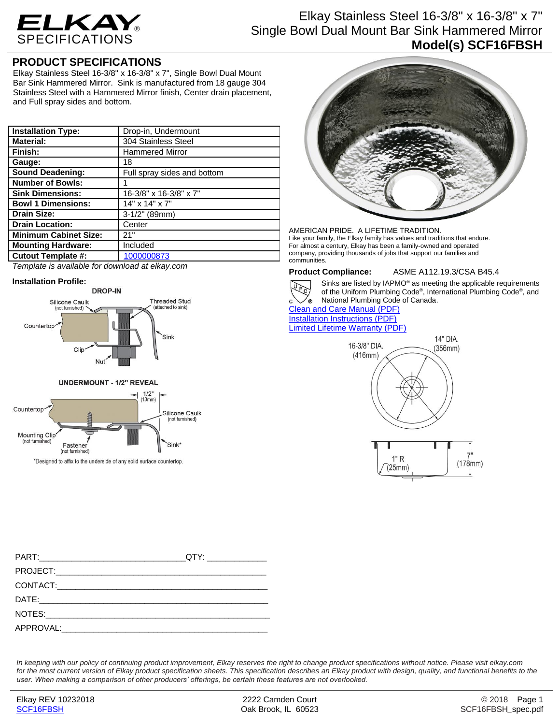

# Elkay Stainless Steel 16-3/8" x 16-3/8" x 7" Single Bowl Dual Mount Bar Sink Hammered Mirror **Model(s) SCF16FBSH**

### **PRODUCT SPECIFICATIONS**

Elkay Stainless Steel 16-3/8" x 16-3/8" x 7", Single Bowl Dual Mount Bar Sink Hammered Mirror. Sink is manufactured from 18 gauge 304 Stainless Steel with a Hammered Mirror finish, Center drain placement, and Full spray sides and bottom.

| <b>Installation Type:</b>    | Drop-in, Undermount         |
|------------------------------|-----------------------------|
| <b>Material:</b>             | 304 Stainless Steel         |
| Finish:                      | <b>Hammered Mirror</b>      |
| Gauge:                       | 18                          |
| <b>Sound Deadening:</b>      | Full spray sides and bottom |
| <b>Number of Bowls:</b>      |                             |
| <b>Sink Dimensions:</b>      | 16-3/8" x 16-3/8" x 7"      |
| <b>Bowl 1 Dimensions:</b>    | $14"$ x $14"$ x $7"$        |
| <b>Drain Size:</b>           | 3-1/2" (89mm)               |
| <b>Drain Location:</b>       | Center                      |
| <b>Minimum Cabinet Size:</b> | 21"                         |
| <b>Mounting Hardware:</b>    | Included                    |
| <b>Cutout Template #:</b>    | 1000000873                  |

*Template is available for download at elkay.com*

### **Installation Profile:**

Mounting Clip<br>(not furnished)





(not furnished)

Fastene

\*Designed to affix to the underside of any solid surface countertop.



AMERICAN PRIDE. A LIFETIME TRADITION. Like your family, the Elkay family has values and traditions that endure. For almost a century, Elkay has been a family-owned and operated company, providing thousands of jobs that support our families and communities.



**Product Compliance:** ASME A112.19.3/CSA B45.4 Sinks are listed by IAPMO® as meeting the applicable requirements of the Uniform Plumbing Code® , International Plumbing Code® , and

 $\circ$ National Plumbing Code of Canada. [Clean and Care Manual \(PDF\)](http://www.elkay.com/wcsstore/lkdocs/care-cleaning-install-warranty-sheets/residential%20and%20commercial%20care%20%20cleaning.pdf) [Installation Instructions \(PDF\)](http://www.elkay.com/wcsstore/lkdocs/care-cleaning-install-warranty-sheets/74180026.pdf) [Limited Lifetime Warranty](http://www.elkay.com/wcsstore/lkdocs/care-cleaning-install-warranty-sheets/residential%20sinks%20warranty.pdf) (PDF)



|                       | QTY: _______________ |
|-----------------------|----------------------|
|                       |                      |
|                       |                      |
|                       |                      |
|                       |                      |
| APPROVAL: A APPROVAL: |                      |

Sink<sup>\*</sup>

*In keeping with our policy of continuing product improvement, Elkay reserves the right to change product specifications without notice. Please visit elkay.com*  for the most current version of Elkay product specification sheets. This specification describes an Elkay product with design, quality, and functional benefits to the *user. When making a comparison of other producers' offerings, be certain these features are not overlooked.*